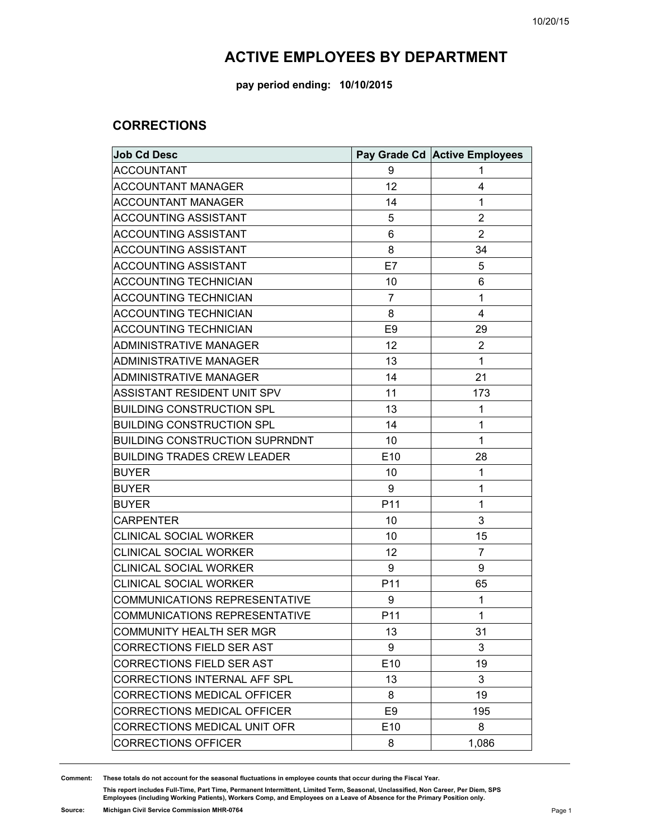#### **pay period ending: 10/10/2015**

#### **CORRECTIONS**

| <b>Job Cd Desc</b>                    |                 | Pay Grade Cd Active Employees |
|---------------------------------------|-----------------|-------------------------------|
| <b>ACCOUNTANT</b>                     | 9               | 1                             |
| <b>ACCOUNTANT MANAGER</b>             | 12              | 4                             |
| <b>ACCOUNTANT MANAGER</b>             | 14              | 1                             |
| <b>ACCOUNTING ASSISTANT</b>           | 5               | $\overline{2}$                |
| ACCOUNTING ASSISTANT                  | 6               | $\overline{2}$                |
| <b>ACCOUNTING ASSISTANT</b>           | 8               | 34                            |
| ACCOUNTING ASSISTANT                  | E7              | 5                             |
| <b>ACCOUNTING TECHNICIAN</b>          | 10              | 6                             |
| <b>ACCOUNTING TECHNICIAN</b>          | 7               | 1                             |
| <b>ACCOUNTING TECHNICIAN</b>          | 8               | 4                             |
| <b>ACCOUNTING TECHNICIAN</b>          | E <sub>9</sub>  | 29                            |
| <b>ADMINISTRATIVE MANAGER</b>         | 12              | $\overline{c}$                |
| <b>ADMINISTRATIVE MANAGER</b>         | 13              | 1                             |
| <b>ADMINISTRATIVE MANAGER</b>         | 14              | 21                            |
| ASSISTANT RESIDENT UNIT SPV           | 11              | 173                           |
| <b>BUILDING CONSTRUCTION SPL</b>      | 13              | 1                             |
| <b>BUILDING CONSTRUCTION SPL</b>      | 14              | 1                             |
| <b>BUILDING CONSTRUCTION SUPRNDNT</b> | 10              | 1                             |
| <b>BUILDING TRADES CREW LEADER</b>    | E10             | 28                            |
| <b>BUYER</b>                          | 10              | 1                             |
| <b>BUYER</b>                          | 9               | 1                             |
| <b>BUYER</b>                          | P <sub>11</sub> | $\mathbf{1}$                  |
| <b>CARPENTER</b>                      | 10              | 3                             |
| <b>CLINICAL SOCIAL WORKER</b>         | 10              | 15                            |
| <b>CLINICAL SOCIAL WORKER</b>         | 12              | 7                             |
| <b>CLINICAL SOCIAL WORKER</b>         | 9               | 9                             |
| <b>CLINICAL SOCIAL WORKER</b>         | P11             | 65                            |
| COMMUNICATIONS REPRESENTATIVE         | 9               | 1                             |
| COMMUNICATIONS REPRESENTATIVE         | P11             | 1                             |
| COMMUNITY HEALTH SER MGR              | 13              | 31                            |
| CORRECTIONS FIELD SER AST             | 9               | 3                             |
| <b>CORRECTIONS FIELD SER AST</b>      | E10             | 19                            |
| CORRECTIONS INTERNAL AFF SPL          | 13              | 3                             |
| CORRECTIONS MEDICAL OFFICER           | 8               | 19                            |
| <b>CORRECTIONS MEDICAL OFFICER</b>    | E <sub>9</sub>  | 195                           |
| CORRECTIONS MEDICAL UNIT OFR          | E10             | 8                             |
| <b>CORRECTIONS OFFICER</b>            | 8               | 1,086                         |

**Comment: These totals do not account for the seasonal fluctuations in employee counts that occur during the Fiscal Year.**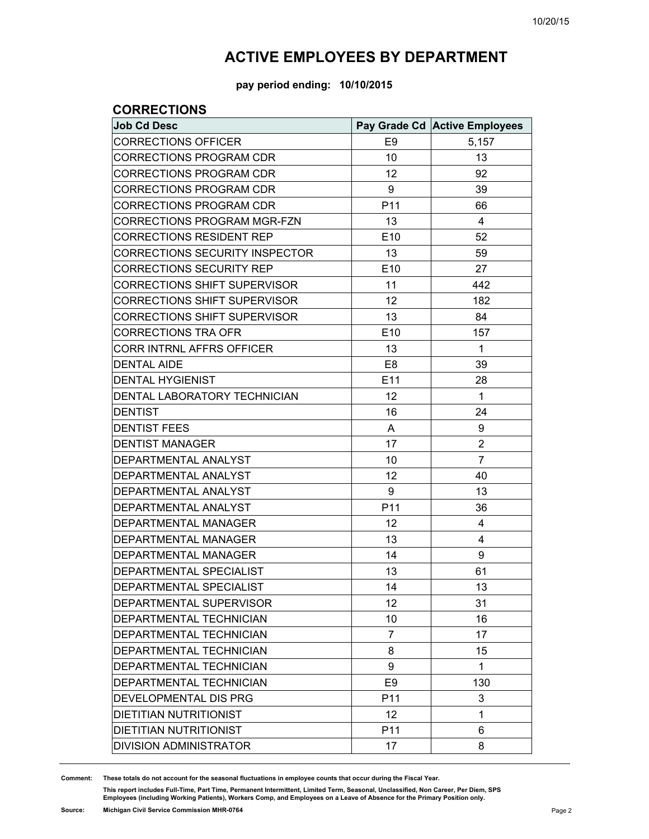**pay period ending: 10/10/2015**

#### **CORRECTIONS**

| <b>Job Cd Desc</b>                  |                | Pay Grade Cd Active Employees |
|-------------------------------------|----------------|-------------------------------|
| <b>CORRECTIONS OFFICER</b>          | E <sub>9</sub> | 5,157                         |
| <b>CORRECTIONS PROGRAM CDR</b>      | 10             | 13                            |
| <b>CORRECTIONS PROGRAM CDR</b>      | 12             | 92                            |
| <b>CORRECTIONS PROGRAM CDR</b>      | 9              | 39                            |
| <b>CORRECTIONS PROGRAM CDR</b>      | P11            | 66                            |
| <b>CORRECTIONS PROGRAM MGR-FZN</b>  | 13             | 4                             |
| <b>CORRECTIONS RESIDENT REP</b>     | E10            | 52                            |
| CORRECTIONS SECURITY INSPECTOR      | 13             | 59                            |
| <b>CORRECTIONS SECURITY REP</b>     | E10            | 27                            |
| <b>CORRECTIONS SHIFT SUPERVISOR</b> | 11             | 442                           |
| <b>CORRECTIONS SHIFT SUPERVISOR</b> | 12             | 182                           |
| <b>CORRECTIONS SHIFT SUPERVISOR</b> | 13             | 84                            |
| <b>CORRECTIONS TRA OFR</b>          | E10            | 157                           |
| CORR INTRNL AFFRS OFFICER           | 13             | $\mathbf{1}$                  |
| <b>DENTAL AIDE</b>                  | E <sub>8</sub> | 39                            |
| <b>DENTAL HYGIENIST</b>             | E11            | 28                            |
| DENTAL LABORATORY TECHNICIAN        | 12             | 1                             |
| <b>DENTIST</b>                      | 16             | 24                            |
| <b>DENTIST FEES</b>                 | A              | 9                             |
| <b>DENTIST MANAGER</b>              | 17             | $\overline{2}$                |
| DEPARTMENTAL ANALYST                | 10             | $\overline{7}$                |
| DEPARTMENTAL ANALYST                | 12             | 40                            |
| DEPARTMENTAL ANALYST                | 9              | 13                            |
| DEPARTMENTAL ANALYST                | P11            | 36                            |
| <b>DEPARTMENTAL MANAGER</b>         | 12             | 4                             |
| <b>DEPARTMENTAL MANAGER</b>         | 13             | 4                             |
| <b>DEPARTMENTAL MANAGER</b>         | 14             | 9                             |
| <b>DEPARTMENTAL SPECIALIST</b>      | 13             | 61                            |
| <b>DEPARTMENTAL SPECIALIST</b>      | 14             | 13                            |
| DEPARTMENTAL SUPERVISOR             | 12             | 31                            |
| <b>DEPARTMENTAL TECHNICIAN</b>      | 10             | 16                            |
| <b>DEPARTMENTAL TECHNICIAN</b>      | $\overline{7}$ | 17                            |
| DEPARTMENTAL TECHNICIAN             | 8              | 15                            |
| <b>DEPARTMENTAL TECHNICIAN</b>      | 9              | 1                             |
| DEPARTMENTAL TECHNICIAN             | E <sub>9</sub> | 130                           |
| <b>DEVELOPMENTAL DIS PRG</b>        | P11            | 3                             |
| <b>DIETITIAN NUTRITIONIST</b>       | 12             | 1                             |
| <b>DIETITIAN NUTRITIONIST</b>       | P11            | 6                             |
| DIVISION ADMINISTRATOR              | 17             | 8                             |

**Comment: These totals do not account for the seasonal fluctuations in employee counts that occur during the Fiscal Year.**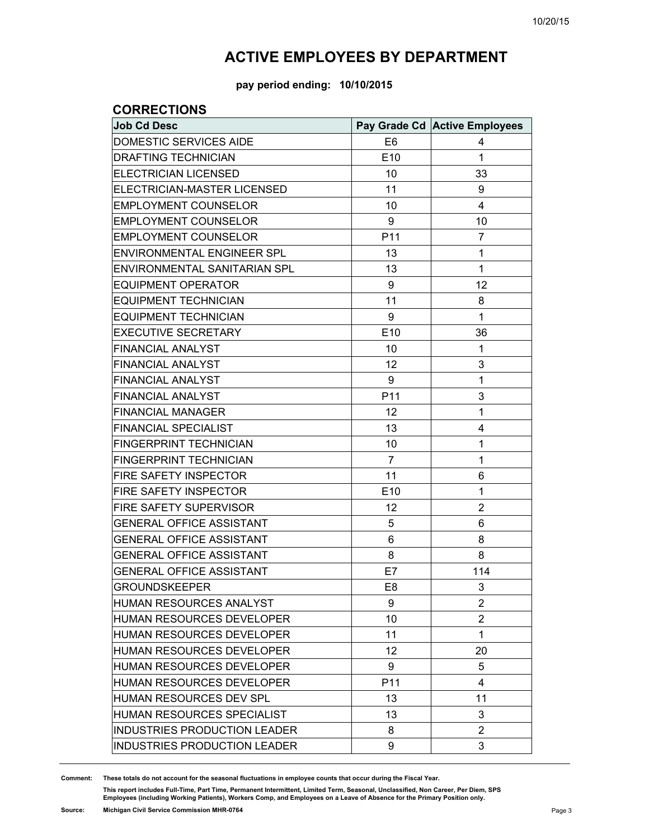**pay period ending: 10/10/2015**

#### **CORRECTIONS**

| <b>Job Cd Desc</b>                  |                 | Pay Grade Cd Active Employees |
|-------------------------------------|-----------------|-------------------------------|
| DOMESTIC SERVICES AIDE              | E <sub>6</sub>  | 4                             |
| <b>DRAFTING TECHNICIAN</b>          | E10             | 1                             |
| <b>ELECTRICIAN LICENSED</b>         | 10              | 33                            |
| ELECTRICIAN-MASTER LICENSED         | 11              | 9                             |
| <b>EMPLOYMENT COUNSELOR</b>         | 10              | 4                             |
| <b>EMPLOYMENT COUNSELOR</b>         | 9               | 10                            |
| <b>EMPLOYMENT COUNSELOR</b>         | P11             | 7                             |
| <b>ENVIRONMENTAL ENGINEER SPL</b>   | 13              | 1                             |
| ENVIRONMENTAL SANITARIAN SPL        | 13              | 1                             |
| <b>EQUIPMENT OPERATOR</b>           | 9               | 12                            |
| <b>EQUIPMENT TECHNICIAN</b>         | 11              | 8                             |
| <b>EQUIPMENT TECHNICIAN</b>         | 9               | 1                             |
| <b>EXECUTIVE SECRETARY</b>          | E10             | 36                            |
| <b>FINANCIAL ANALYST</b>            | 10              | 1                             |
| <b>FINANCIAL ANALYST</b>            | 12              | 3                             |
| <b>FINANCIAL ANALYST</b>            | 9               | 1                             |
| <b>FINANCIAL ANALYST</b>            | P11             | 3                             |
| <b>FINANCIAL MANAGER</b>            | 12              | 1                             |
| <b>FINANCIAL SPECIALIST</b>         | 13              | 4                             |
| FINGERPRINT TECHNICIAN              | 10              | 1                             |
| <b>FINGERPRINT TECHNICIAN</b>       | 7               | 1                             |
| FIRE SAFETY INSPECTOR               | 11              | 6                             |
| <b>FIRE SAFETY INSPECTOR</b>        | E10             | 1                             |
| FIRE SAFETY SUPERVISOR              | 12              | $\overline{2}$                |
| <b>GENERAL OFFICE ASSISTANT</b>     | 5               | 6                             |
| <b>GENERAL OFFICE ASSISTANT</b>     | 6               | 8                             |
| <b>GENERAL OFFICE ASSISTANT</b>     | 8               | 8                             |
| <b>GENERAL OFFICE ASSISTANT</b>     | E7              | 114                           |
| <b>GROUNDSKEEPER</b>                | E8              | 3                             |
| HUMAN RESOURCES ANALYST             | 9               | $\overline{2}$                |
| HUMAN RESOURCES DEVELOPER           | 10              | 2                             |
| HUMAN RESOURCES DEVELOPER           | 11              | 1                             |
| <b>HUMAN RESOURCES DEVELOPER</b>    | 12              | 20                            |
| HUMAN RESOURCES DEVELOPER           | 9               | 5                             |
| <b>HUMAN RESOURCES DEVELOPER</b>    | P <sub>11</sub> | 4                             |
| <b>HUMAN RESOURCES DEV SPL</b>      | 13              | 11                            |
| HUMAN RESOURCES SPECIALIST          | 13              | 3                             |
| INDUSTRIES PRODUCTION LEADER        | 8               | 2                             |
| <b>INDUSTRIES PRODUCTION LEADER</b> | 9               | 3                             |

**Comment: These totals do not account for the seasonal fluctuations in employee counts that occur during the Fiscal Year.**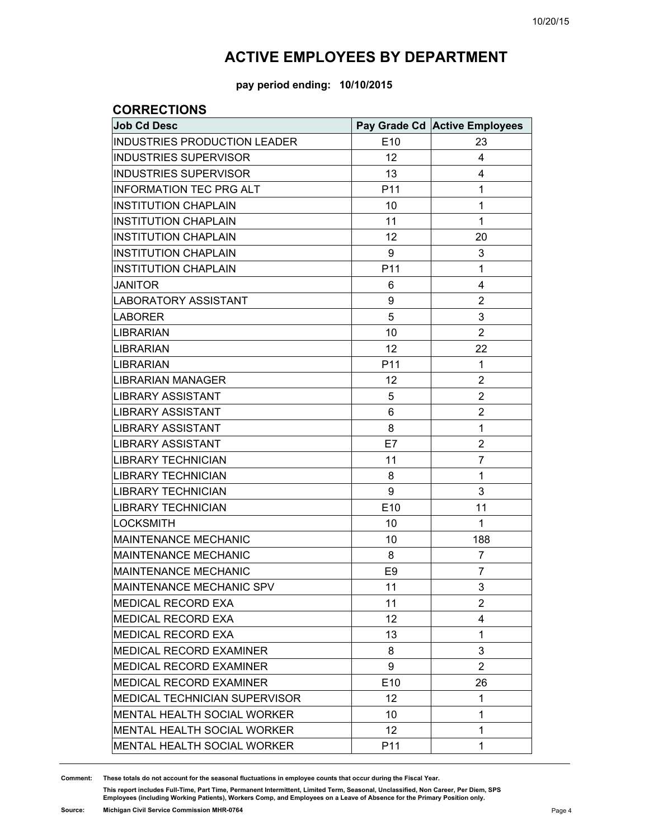**pay period ending: 10/10/2015**

### **CORRECTIONS**

| <b>Job Cd Desc</b>                  |                | Pay Grade Cd Active Employees |
|-------------------------------------|----------------|-------------------------------|
| <b>INDUSTRIES PRODUCTION LEADER</b> | E10            | 23                            |
| <b>INDUSTRIES SUPERVISOR</b>        | 12             | 4                             |
| <b>INDUSTRIES SUPERVISOR</b>        | 13             | 4                             |
| <b>INFORMATION TEC PRG ALT</b>      | P11            | 1                             |
| <b>INSTITUTION CHAPLAIN</b>         | 10             | 1                             |
| <b>INSTITUTION CHAPLAIN</b>         | 11             | 1                             |
| <b>INSTITUTION CHAPLAIN</b>         | 12             | 20                            |
| <b>INSTITUTION CHAPLAIN</b>         | 9              | 3                             |
| <b>INSTITUTION CHAPLAIN</b>         | P11            | 1                             |
| <b>JANITOR</b>                      | 6              | 4                             |
| <b>LABORATORY ASSISTANT</b>         | 9              | 2                             |
| <b>LABORER</b>                      | 5              | 3                             |
| <b>LIBRARIAN</b>                    | 10             | $\overline{2}$                |
| <b>LIBRARIAN</b>                    | 12             | 22                            |
| <b>LIBRARIAN</b>                    | P11            | 1                             |
| <b>LIBRARIAN MANAGER</b>            | 12             | $\overline{2}$                |
| <b>LIBRARY ASSISTANT</b>            | 5              | $\overline{2}$                |
| <b>LIBRARY ASSISTANT</b>            | 6              | $\overline{2}$                |
| <b>LIBRARY ASSISTANT</b>            | 8              | 1                             |
| <b>LIBRARY ASSISTANT</b>            | E7             | $\overline{2}$                |
| <b>LIBRARY TECHNICIAN</b>           | 11             | $\overline{7}$                |
| <b>LIBRARY TECHNICIAN</b>           | 8              | 1                             |
| <b>LIBRARY TECHNICIAN</b>           | 9              | 3                             |
| <b>LIBRARY TECHNICIAN</b>           | E10            | 11                            |
| <b>LOCKSMITH</b>                    | 10             | 1                             |
| <b>MAINTENANCE MECHANIC</b>         | 10             | 188                           |
| <b>MAINTENANCE MECHANIC</b>         | 8              | 7                             |
| <b>MAINTENANCE MECHANIC</b>         | E <sub>9</sub> | $\overline{7}$                |
| MAINTENANCE MECHANIC SPV            | 11             | 3                             |
| MEDICAL RECORD EXA                  | 11             | 2                             |
| MEDICAL RECORD EXA                  | 12             | 4                             |
| <b>MEDICAL RECORD EXA</b>           | 13             | 1                             |
| <b>MEDICAL RECORD EXAMINER</b>      | 8              | 3                             |
| MEDICAL RECORD EXAMINER             | 9              | $\overline{2}$                |
| <b>MEDICAL RECORD EXAMINER</b>      | E10            | 26                            |
| MEDICAL TECHNICIAN SUPERVISOR       | 12             | 1                             |
| <b>MENTAL HEALTH SOCIAL WORKER</b>  | 10             | 1                             |
| MENTAL HEALTH SOCIAL WORKER         | 12             | 1                             |
| <b>MENTAL HEALTH SOCIAL WORKER</b>  | P11            | 1                             |

**Comment: These totals do not account for the seasonal fluctuations in employee counts that occur during the Fiscal Year.**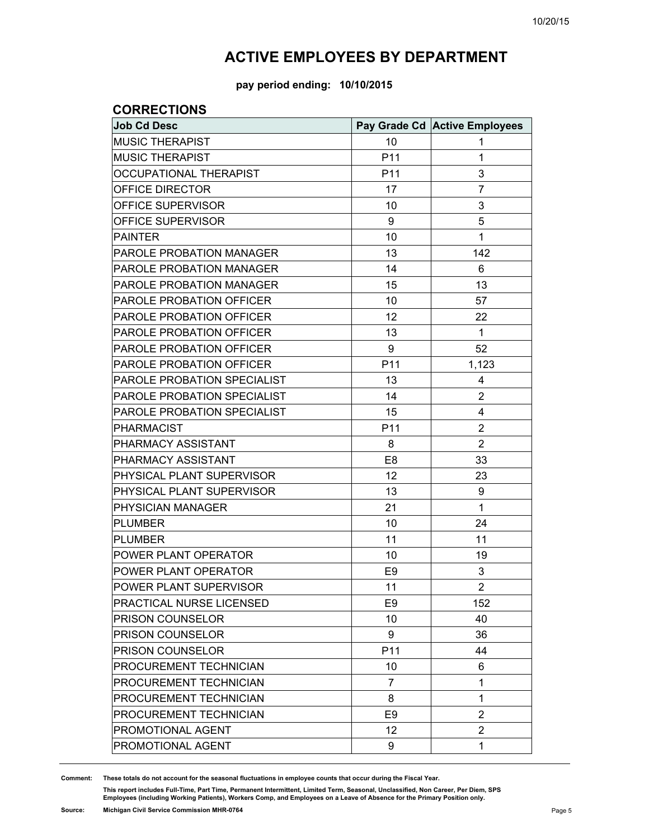**pay period ending: 10/10/2015**

#### **CORRECTIONS**

| <b>Job Cd Desc</b>              |                 | Pay Grade Cd Active Employees |
|---------------------------------|-----------------|-------------------------------|
| <b>MUSIC THERAPIST</b>          | 10              | 1                             |
| <b>MUSIC THERAPIST</b>          | P11             | 1                             |
| <b>OCCUPATIONAL THERAPIST</b>   | P <sub>11</sub> | 3                             |
| OFFICE DIRECTOR                 | 17              | $\overline{7}$                |
| OFFICE SUPERVISOR               | 10              | 3                             |
| OFFICE SUPERVISOR               | 9               | 5                             |
| <b>PAINTER</b>                  | 10              | 1                             |
| PAROLE PROBATION MANAGER        | 13              | 142                           |
| <b>PAROLE PROBATION MANAGER</b> | 14              | 6                             |
| PAROLE PROBATION MANAGER        | 15              | 13                            |
| PAROLE PROBATION OFFICER        | 10              | 57                            |
| PAROLE PROBATION OFFICER        | 12              | 22                            |
| PAROLE PROBATION OFFICER        | 13              | 1                             |
| PAROLE PROBATION OFFICER        | 9               | 52                            |
| <b>PAROLE PROBATION OFFICER</b> | P11             | 1,123                         |
| PAROLE PROBATION SPECIALIST     | 13              | 4                             |
| PAROLE PROBATION SPECIALIST     | 14              | $\overline{2}$                |
| PAROLE PROBATION SPECIALIST     | 15              | 4                             |
| <b>PHARMACIST</b>               | P11             | $\overline{2}$                |
| PHARMACY ASSISTANT              | 8               | $\overline{2}$                |
| PHARMACY ASSISTANT              | E <sub>8</sub>  | 33                            |
| PHYSICAL PLANT SUPERVISOR       | 12              | 23                            |
| PHYSICAL PLANT SUPERVISOR       | 13              | 9                             |
| PHYSICIAN MANAGER               | 21              | 1                             |
| <b>PLUMBER</b>                  | 10              | 24                            |
| <b>PLUMBER</b>                  | 11              | 11                            |
| POWER PLANT OPERATOR            | 10              | 19                            |
| POWER PLANT OPERATOR            | E <sub>9</sub>  | 3                             |
| POWER PLANT SUPERVISOR          | 11              | $\overline{2}$                |
| PRACTICAL NURSE LICENSED        | E <sub>9</sub>  | 152                           |
| PRISON COUNSELOR                | 10              | 40                            |
| PRISON COUNSELOR                | 9               | 36                            |
| <b>PRISON COUNSELOR</b>         | P11             | 44                            |
| PROCUREMENT TECHNICIAN          | 10              | 6                             |
| PROCUREMENT TECHNICIAN          | 7               | 1                             |
| PROCUREMENT TECHNICIAN          | 8               | 1                             |
| PROCUREMENT TECHNICIAN          | E <sub>9</sub>  | $\overline{2}$                |
| PROMOTIONAL AGENT               | 12              | $\overline{2}$                |
| PROMOTIONAL AGENT               | 9               | 1                             |

**Comment: These totals do not account for the seasonal fluctuations in employee counts that occur during the Fiscal Year.**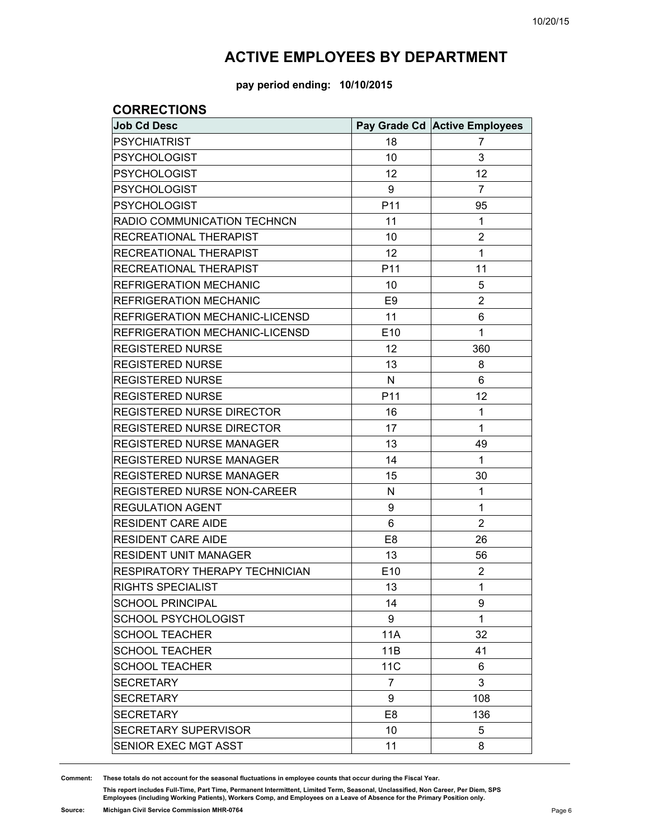**pay period ending: 10/10/2015**

#### **CORRECTIONS**

| <b>Job Cd Desc</b>                 |                | Pay Grade Cd Active Employees |
|------------------------------------|----------------|-------------------------------|
| <b>PSYCHIATRIST</b>                | 18             | 7                             |
| <b>PSYCHOLOGIST</b>                | 10             | 3                             |
| <b>PSYCHOLOGIST</b>                | 12             | 12                            |
| <b>PSYCHOLOGIST</b>                | 9              | $\overline{7}$                |
| <b>PSYCHOLOGIST</b>                | P11            | 95                            |
| RADIO COMMUNICATION TECHNCN        | 11             | 1                             |
| RECREATIONAL THERAPIST             | 10             | $\overline{2}$                |
| RECREATIONAL THERAPIST             | 12             | 1                             |
| RECREATIONAL THERAPIST             | P11            | 11                            |
| <b>REFRIGERATION MECHANIC</b>      | 10             | 5                             |
| <b>REFRIGERATION MECHANIC</b>      | E <sub>9</sub> | $\overline{2}$                |
| REFRIGERATION MECHANIC-LICENSD     | 11             | 6                             |
| REFRIGERATION MECHANIC-LICENSD     | E10            | 1                             |
| <b>REGISTERED NURSE</b>            | 12             | 360                           |
| <b>REGISTERED NURSE</b>            | 13             | 8                             |
| <b>REGISTERED NURSE</b>            | $\mathsf{N}$   | 6                             |
| <b>REGISTERED NURSE</b>            | P11            | 12                            |
| <b>REGISTERED NURSE DIRECTOR</b>   | 16             | 1                             |
| REGISTERED NURSE DIRECTOR          | 17             | 1                             |
| <b>REGISTERED NURSE MANAGER</b>    | 13             | 49                            |
| <b>REGISTERED NURSE MANAGER</b>    | 14             | 1                             |
| REGISTERED NURSE MANAGER           | 15             | 30                            |
| <b>REGISTERED NURSE NON-CAREER</b> | N              | 1                             |
| <b>REGULATION AGENT</b>            | 9              | 1                             |
| <b>RESIDENT CARE AIDE</b>          | 6              | $\overline{2}$                |
| <b>RESIDENT CARE AIDE</b>          | E <sub>8</sub> | 26                            |
| <b>RESIDENT UNIT MANAGER</b>       | 13             | 56                            |
| RESPIRATORY THERAPY TECHNICIAN     | E10            | $\overline{2}$                |
| <b>RIGHTS SPECIALIST</b>           | 13             | 1                             |
| <b>SCHOOL PRINCIPAL</b>            | 14             | 9                             |
| SCHOOL PSYCHOLOGIST                | 9              | 1                             |
| <b>SCHOOL TEACHER</b>              | <b>11A</b>     | 32                            |
| <b>SCHOOL TEACHER</b>              | 11B            | 41                            |
| <b>SCHOOL TEACHER</b>              | <b>11C</b>     | 6                             |
| <b>SECRETARY</b>                   | 7              | 3                             |
| <b>SECRETARY</b>                   | 9              | 108                           |
| <b>SECRETARY</b>                   | E <sub>8</sub> | 136                           |
| SECRETARY SUPERVISOR               | 10             | 5                             |
| SENIOR EXEC MGT ASST               | 11             | 8                             |

**Comment: These totals do not account for the seasonal fluctuations in employee counts that occur during the Fiscal Year.**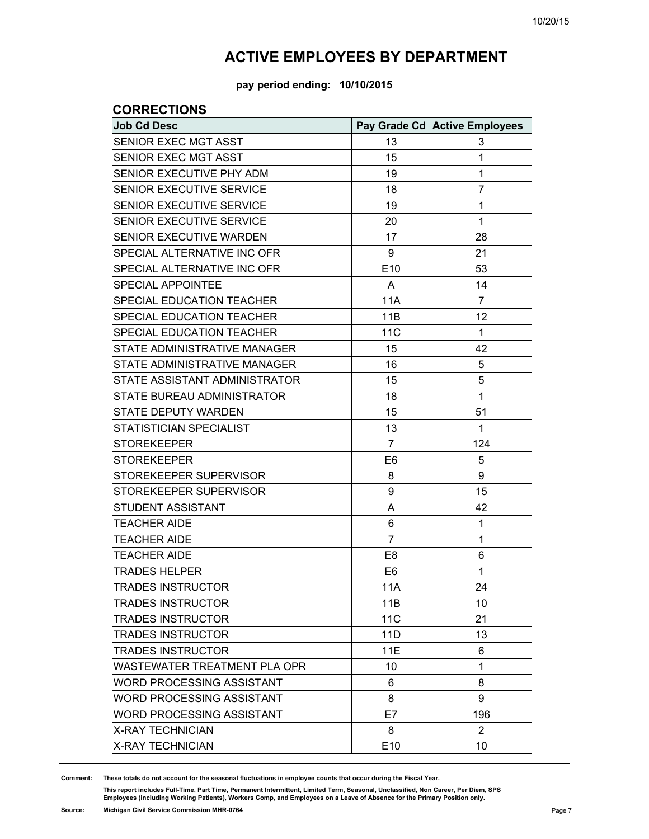**pay period ending: 10/10/2015**

#### **CORRECTIONS**

| <b>Job Cd Desc</b>                   |                 | Pay Grade Cd Active Employees |
|--------------------------------------|-----------------|-------------------------------|
| SENIOR EXEC MGT ASST                 | 13              | 3                             |
| SENIOR EXEC MGT ASST                 | 15              | 1                             |
| SENIOR EXECUTIVE PHY ADM             | 19              | 1                             |
| SENIOR EXECUTIVE SERVICE             | 18              | $\overline{7}$                |
| SENIOR EXECUTIVE SERVICE             | 19              | 1                             |
| SENIOR EXECUTIVE SERVICE             | 20              | 1                             |
| SENIOR EXECUTIVE WARDEN              | 17              | 28                            |
| SPECIAL ALTERNATIVE INC OFR          | 9               | 21                            |
| SPECIAL ALTERNATIVE INC OFR          | E10             | 53                            |
| SPECIAL APPOINTEE                    | A               | 14                            |
| SPECIAL EDUCATION TEACHER            | <b>11A</b>      | $\overline{7}$                |
| SPECIAL EDUCATION TEACHER            | 11B             | 12                            |
| SPECIAL EDUCATION TEACHER            | 11 <sub>C</sub> | $\mathbf{1}$                  |
| STATE ADMINISTRATIVE MANAGER         | 15              | 42                            |
| STATE ADMINISTRATIVE MANAGER         | 16              | 5                             |
| <b>STATE ASSISTANT ADMINISTRATOR</b> | 15              | 5                             |
| STATE BUREAU ADMINISTRATOR           | 18              | $\mathbf{1}$                  |
| <b>STATE DEPUTY WARDEN</b>           | 15              | 51                            |
| STATISTICIAN SPECIALIST              | 13              | 1                             |
| <b>STOREKEEPER</b>                   | $\overline{7}$  | 124                           |
| <b>STOREKEEPER</b>                   | E <sub>6</sub>  | 5                             |
| STOREKEEPER SUPERVISOR               | 8               | 9                             |
| STOREKEEPER SUPERVISOR               | 9               | 15                            |
| STUDENT ASSISTANT                    | A               | 42                            |
| <b>TEACHER AIDE</b>                  | 6               | 1                             |
| <b>TEACHER AIDE</b>                  | $\overline{7}$  | 1                             |
| <b>TEACHER AIDE</b>                  | E <sub>8</sub>  | 6                             |
| <b>TRADES HELPER</b>                 | E <sub>6</sub>  | $\mathbf{1}$                  |
| <b>TRADES INSTRUCTOR</b>             | 11A             | 24                            |
| <b>TRADES INSTRUCTOR</b>             | 11B             | 10                            |
| <b>TRADES INSTRUCTOR</b>             | <b>11C</b>      | 21                            |
| <b>TRADES INSTRUCTOR</b>             | 11D             | 13                            |
| <b>TRADES INSTRUCTOR</b>             | 11E             | 6                             |
| WASTEWATER TREATMENT PLA OPR         | 10              | 1                             |
| <b>WORD PROCESSING ASSISTANT</b>     | 6               | 8                             |
| <b>WORD PROCESSING ASSISTANT</b>     | 8               | 9                             |
| WORD PROCESSING ASSISTANT            | E7              | 196                           |
| <b>X-RAY TECHNICIAN</b>              | 8               | $\overline{2}$                |
| <b>X-RAY TECHNICIAN</b>              | E10             | 10                            |

**Comment: These totals do not account for the seasonal fluctuations in employee counts that occur during the Fiscal Year.**